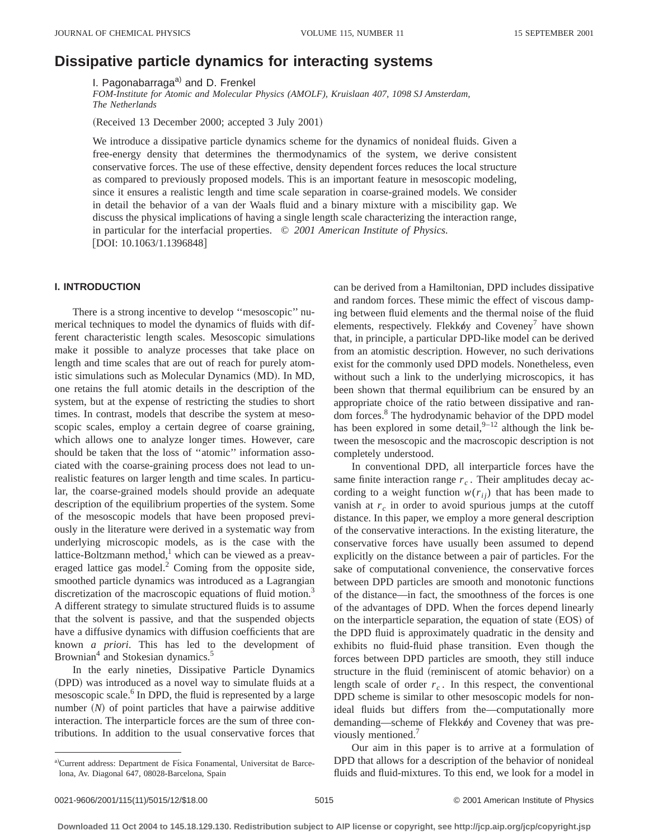# **Dissipative particle dynamics for interacting systems**

I. Pagonabarraga $a$ ) and D. Frenkel

*FOM-Institute for Atomic and Molecular Physics (AMOLF), Kruislaan 407, 1098 SJ Amsterdam, The Netherlands*

(Received 13 December 2000; accepted 3 July 2001)

We introduce a dissipative particle dynamics scheme for the dynamics of nonideal fluids. Given a free-energy density that determines the thermodynamics of the system, we derive consistent conservative forces. The use of these effective, density dependent forces reduces the local structure as compared to previously proposed models. This is an important feature in mesoscopic modeling, since it ensures a realistic length and time scale separation in coarse-grained models. We consider in detail the behavior of a van der Waals fluid and a binary mixture with a miscibility gap. We discuss the physical implications of having a single length scale characterizing the interaction range, in particular for the interfacial properties. © *2001 American Institute of Physics.*  $[DOI: 10.1063/1.1396848]$ 

# **I. INTRODUCTION**

There is a strong incentive to develop ''mesoscopic'' numerical techniques to model the dynamics of fluids with different characteristic length scales. Mesoscopic simulations make it possible to analyze processes that take place on length and time scales that are out of reach for purely atomistic simulations such as Molecular Dynamics (MD). In MD, one retains the full atomic details in the description of the system, but at the expense of restricting the studies to short times. In contrast, models that describe the system at mesoscopic scales, employ a certain degree of coarse graining, which allows one to analyze longer times. However, care should be taken that the loss of ''atomic'' information associated with the coarse-graining process does not lead to unrealistic features on larger length and time scales. In particular, the coarse-grained models should provide an adequate description of the equilibrium properties of the system. Some of the mesoscopic models that have been proposed previously in the literature were derived in a systematic way from underlying microscopic models, as is the case with the lattice-Boltzmann method, $<sup>1</sup>$  which can be viewed as a preav-</sup> eraged lattice gas model. $^{2}$  Coming from the opposite side, smoothed particle dynamics was introduced as a Lagrangian discretization of the macroscopic equations of fluid motion.<sup>3</sup> A different strategy to simulate structured fluids is to assume that the solvent is passive, and that the suspended objects have a diffusive dynamics with diffusion coefficients that are known *a priori*. This has led to the development of Brownian<sup>4</sup> and Stokesian dynamics.<sup>5</sup>

In the early nineties, Dissipative Particle Dynamics (DPD) was introduced as a novel way to simulate fluids at a mesoscopic scale.<sup>6</sup> In DPD, the fluid is represented by a large number  $(N)$  of point particles that have a pairwise additive interaction. The interparticle forces are the sum of three contributions. In addition to the usual conservative forces that

a)Current address: Department de Física Fonamental, Universitat de Barcelona, Av. Diagonal 647, 08028-Barcelona, Spain

can be derived from a Hamiltonian, DPD includes dissipative and random forces. These mimic the effect of viscous damping between fluid elements and the thermal noise of the fluid elements, respectively. Flekk $\phi$  and Coveney<sup>7</sup> have shown that, in principle, a particular DPD-like model can be derived from an atomistic description. However, no such derivations exist for the commonly used DPD models. Nonetheless, even without such a link to the underlying microscopics, it has been shown that thermal equilibrium can be ensured by an appropriate choice of the ratio between dissipative and random forces.8 The hydrodynamic behavior of the DPD model has been explored in some detail,  $9-12$  although the link between the mesoscopic and the macroscopic description is not completely understood.

In conventional DPD, all interparticle forces have the same finite interaction range  $r_c$ . Their amplitudes decay according to a weight function  $w(r_{ij})$  that has been made to vanish at  $r_c$  in order to avoid spurious jumps at the cutoff distance. In this paper, we employ a more general description of the conservative interactions. In the existing literature, the conservative forces have usually been assumed to depend explicitly on the distance between a pair of particles. For the sake of computational convenience, the conservative forces between DPD particles are smooth and monotonic functions of the distance—in fact, the smoothness of the forces is one of the advantages of DPD. When the forces depend linearly on the interparticle separation, the equation of state  $(EOS)$  of the DPD fluid is approximately quadratic in the density and exhibits no fluid-fluid phase transition. Even though the forces between DPD particles are smooth, they still induce structure in the fluid (reminiscent of atomic behavior) on a length scale of order  $r_c$ . In this respect, the conventional DPD scheme is similar to other mesoscopic models for nonideal fluids but differs from the—computationally more demanding—scheme of Flekkøy and Coveney that was previously mentioned.<sup>7</sup>

Our aim in this paper is to arrive at a formulation of DPD that allows for a description of the behavior of nonideal fluids and fluid-mixtures. To this end, we look for a model in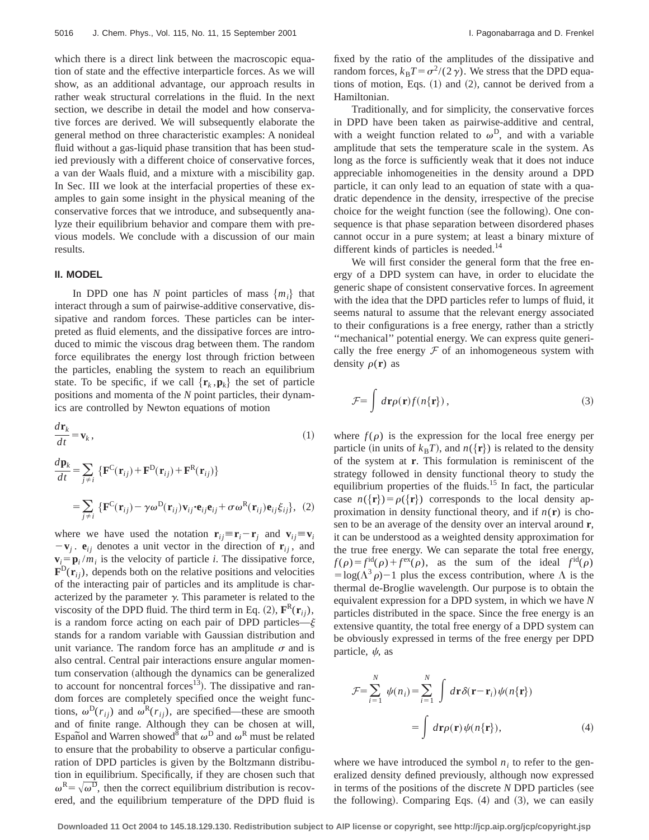which there is a direct link between the macroscopic equation of state and the effective interparticle forces. As we will show, as an additional advantage, our approach results in rather weak structural correlations in the fluid. In the next section, we describe in detail the model and how conservative forces are derived. We will subsequently elaborate the general method on three characteristic examples: A nonideal fluid without a gas-liquid phase transition that has been studied previously with a different choice of conservative forces, a van der Waals fluid, and a mixture with a miscibility gap. In Sec. III we look at the interfacial properties of these examples to gain some insight in the physical meaning of the conservative forces that we introduce, and subsequently analyze their equilibrium behavior and compare them with previous models. We conclude with a discussion of our main results.

# **II. MODEL**

In DPD one has *N* point particles of mass  $\{m_i\}$  that interact through a sum of pairwise-additive conservative, dissipative and random forces. These particles can be interpreted as fluid elements, and the dissipative forces are introduced to mimic the viscous drag between them. The random force equilibrates the energy lost through friction between the particles, enabling the system to reach an equilibrium state. To be specific, if we call  $\{r_k, p_k\}$  the set of particle positions and momenta of the *N* point particles, their dynamics are controlled by Newton equations of motion

$$
\frac{d\mathbf{r}_k}{dt} = \mathbf{v}_k \,,\tag{1}
$$

$$
\frac{d\mathbf{p}_k}{dt} = \sum_{j \neq i} \left\{ \mathbf{F}^{\mathbf{C}}(\mathbf{r}_{ij}) + \mathbf{F}^{\mathbf{D}}(\mathbf{r}_{ij}) + \mathbf{F}^{\mathbf{R}}(\mathbf{r}_{ij}) \right\}
$$

$$
= \sum_{j \neq i} \left\{ \mathbf{F}^{\mathbf{C}}(\mathbf{r}_{ij}) - \gamma \omega^{\mathbf{D}}(\mathbf{r}_{ij}) \mathbf{v}_{ij} \cdot \mathbf{e}_{ij} \mathbf{e}_{ij} + \sigma \omega^{\mathbf{R}}(\mathbf{r}_{ij}) \mathbf{e}_{ij} \xi_{ij} \right\}, (2)
$$

where we have used the notation  $\mathbf{r}_{ij} = \mathbf{r}_i - \mathbf{r}_j$  and  $\mathbf{v}_{ij} = \mathbf{v}_i$  $-\mathbf{v}_i$ .  $\mathbf{e}_{ij}$  denotes a unit vector in the direction of  $\mathbf{r}_{ij}$ , and  $\mathbf{v}_i = \mathbf{p}_i / m_i$  is the velocity of particle *i*. The dissipative force,  $\mathbf{F}^{\text{D}}(\mathbf{r}_{ij})$ , depends both on the relative positions and velocities of the interacting pair of particles and its amplitude is characterized by the parameter  $\gamma$ . This parameter is related to the viscosity of the DPD fluid. The third term in Eq. (2),  $\mathbf{F}^R(\mathbf{r}_{ii})$ , is a random force acting on each pair of DPD particles— $\xi$ stands for a random variable with Gaussian distribution and unit variance. The random force has an amplitude  $\sigma$  and is also central. Central pair interactions ensure angular momentum conservation (although the dynamics can be generalized to account for noncentral forces<sup>13</sup>). The dissipative and random forces are completely specified once the weight functions,  $\omega^D(r_{ij})$  and  $\omega^R(r_{ij})$ , are specified—these are smooth and of finite range. Although they can be chosen at will, Español and Warren showed<sup>8</sup> that  $\omega^D$  and  $\omega^R$  must be related to ensure that the probability to observe a particular configuration of DPD particles is given by the Boltzmann distribution in equilibrium. Specifically, if they are chosen such that  $\omega^R = \sqrt{\omega^D}$ , then the correct equilibrium distribution is recovered, and the equilibrium temperature of the DPD fluid is fixed by the ratio of the amplitudes of the dissipative and random forces,  $k_B T = \sigma^2/(2\gamma)$ . We stress that the DPD equations of motion, Eqs.  $(1)$  and  $(2)$ , cannot be derived from a Hamiltonian.

Traditionally, and for simplicity, the conservative forces in DPD have been taken as pairwise-additive and central, with a weight function related to  $\omega^D$ , and with a variable amplitude that sets the temperature scale in the system. As long as the force is sufficiently weak that it does not induce appreciable inhomogeneities in the density around a DPD particle, it can only lead to an equation of state with a quadratic dependence in the density, irrespective of the precise choice for the weight function (see the following). One consequence is that phase separation between disordered phases cannot occur in a pure system; at least a binary mixture of different kinds of particles is needed.<sup>14</sup>

We will first consider the general form that the free energy of a DPD system can have, in order to elucidate the generic shape of consistent conservative forces. In agreement with the idea that the DPD particles refer to lumps of fluid, it seems natural to assume that the relevant energy associated to their configurations is a free energy, rather than a strictly ''mechanical'' potential energy. We can express quite generically the free energy  $\mathcal F$  of an inhomogeneous system with density  $\rho(\mathbf{r})$  as

$$
\mathcal{F} = \int d\mathbf{r} \rho(\mathbf{r}) f(n\{\mathbf{r}\}), \qquad (3)
$$

where  $f(\rho)$  is the expression for the local free energy per particle (in units of  $k_B T$ ), and  $n({\bf r})$  is related to the density of the system at **r**. This formulation is reminiscent of the strategy followed in density functional theory to study the equilibrium properties of the fluids.<sup>15</sup> In fact, the particular case  $n({\bf r}) = \rho({\bf r})$  corresponds to the local density approximation in density functional theory, and if  $n(\mathbf{r})$  is chosen to be an average of the density over an interval around **r**, it can be understood as a weighted density approximation for the true free energy. We can separate the total free energy,  $f(\rho) = f^{\text{rd}}(\rho) + f^{\text{ex}}(\rho)$ , as the sum of the ideal  $f^{\text{rd}}(\rho)$  $=$ log( $\Lambda$ <sup>3</sup> $\rho$ )-1 plus the excess contribution, where  $\Lambda$  is the thermal de-Broglie wavelength. Our purpose is to obtain the equivalent expression for a DPD system, in which we have *N* particles distributed in the space. Since the free energy is an extensive quantity, the total free energy of a DPD system can be obviously expressed in terms of the free energy per DPD particle,  $\psi$ , as

$$
\mathcal{F} = \sum_{i=1}^{N} \psi(n_i) = \sum_{i=1}^{N} \int d\mathbf{r} \delta(\mathbf{r} - \mathbf{r}_i) \psi(n\{\mathbf{r}\})
$$

$$
= \int d\mathbf{r} \rho(\mathbf{r}) \psi(n\{\mathbf{r}\}), \qquad (4)
$$

where we have introduced the symbol  $n_i$  to refer to the generalized density defined previously, although now expressed in terms of the positions of the discrete *N* DPD particles (see the following). Comparing Eqs.  $(4)$  and  $(3)$ , we can easily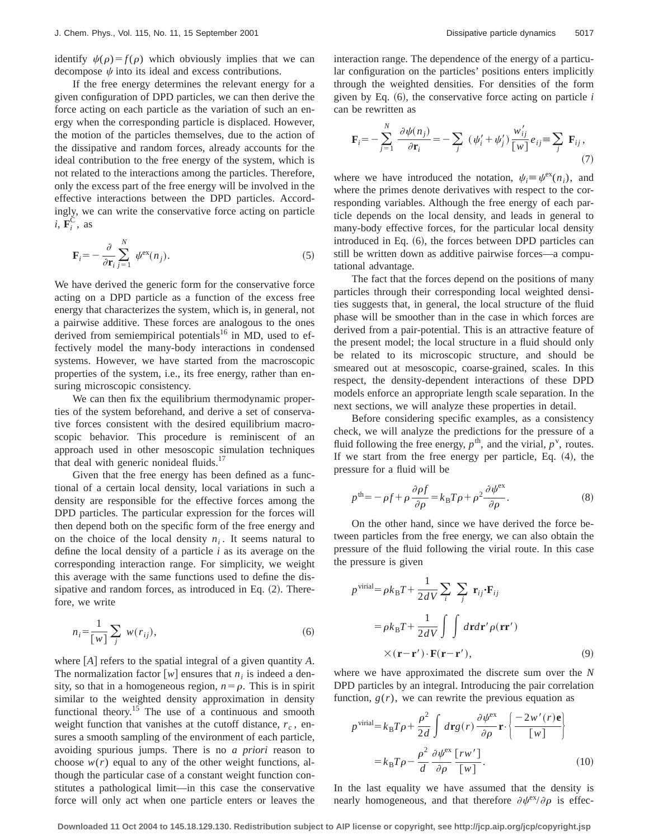identify  $\psi(\rho) = f(\rho)$  which obviously implies that we can decompose  $\psi$  into its ideal and excess contributions.

If the free energy determines the relevant energy for a given configuration of DPD particles, we can then derive the force acting on each particle as the variation of such an energy when the corresponding particle is displaced. However, the motion of the particles themselves, due to the action of the dissipative and random forces, already accounts for the ideal contribution to the free energy of the system, which is not related to the interactions among the particles. Therefore, only the excess part of the free energy will be involved in the effective interactions between the DPD particles. Accordingly, we can write the conservative force acting on particle  $i, \overline{\mathbf{F}_i^{\mathbf{C}}}$ , as

$$
\mathbf{F}_{i} = -\frac{\partial}{\partial \mathbf{r}_{i}} \sum_{j=1}^{N} \psi^{\text{ex}}(n_{j}).
$$
 (5)

We have derived the generic form for the conservative force acting on a DPD particle as a function of the excess free energy that characterizes the system, which is, in general, not a pairwise additive. These forces are analogous to the ones derived from semiempirical potentials<sup>16</sup> in MD, used to effectively model the many-body interactions in condensed systems. However, we have started from the macroscopic properties of the system, i.e., its free energy, rather than ensuring microscopic consistency.

We can then fix the equilibrium thermodynamic properties of the system beforehand, and derive a set of conservative forces consistent with the desired equilibrium macroscopic behavior. This procedure is reminiscent of an approach used in other mesoscopic simulation techniques that deal with generic nonideal fluids.<sup>17</sup>

Given that the free energy has been defined as a functional of a certain local density, local variations in such a density are responsible for the effective forces among the DPD particles. The particular expression for the forces will then depend both on the specific form of the free energy and on the choice of the local density  $n_i$ . It seems natural to define the local density of a particle *i* as its average on the corresponding interaction range. For simplicity, we weight this average with the same functions used to define the dissipative and random forces, as introduced in Eq.  $(2)$ . Therefore, we write

$$
n_i = \frac{1}{[w]} \sum_j w(r_{ij}), \qquad (6)
$$

where  $[A]$  refers to the spatial integral of a given quantity  $A$ . The normalization factor  $[w]$  ensures that  $n_i$  is indeed a density, so that in a homogeneous region,  $n = \rho$ . This is in spirit similar to the weighted density approximation in density functional theory.<sup>15</sup> The use of a continuous and smooth weight function that vanishes at the cutoff distance,  $r_c$ , ensures a smooth sampling of the environment of each particle, avoiding spurious jumps. There is no *a priori* reason to choose  $w(r)$  equal to any of the other weight functions, although the particular case of a constant weight function constitutes a pathological limit—in this case the conservative force will only act when one particle enters or leaves the interaction range. The dependence of the energy of a particular configuration on the particles' positions enters implicitly through the weighted densities. For densities of the form given by Eq.  $(6)$ , the conservative force acting on particle *i* can be rewritten as

$$
\mathbf{F}_{i} = -\sum_{j=1}^{N} \frac{\partial \psi(n_{j})}{\partial \mathbf{r}_{i}} = -\sum_{j} (\psi'_{i} + \psi'_{j}) \frac{w'_{ij}}{[w]} e_{ij} \equiv \sum_{j} \mathbf{F}_{ij},
$$
\n(7)

where we have introduced the notation,  $\psi_i \equiv \psi^{\text{ex}}(n_i)$ , and where the primes denote derivatives with respect to the corresponding variables. Although the free energy of each particle depends on the local density, and leads in general to many-body effective forces, for the particular local density introduced in Eq.  $(6)$ , the forces between DPD particles can still be written down as additive pairwise forces—a computational advantage.

The fact that the forces depend on the positions of many particles through their corresponding local weighted densities suggests that, in general, the local structure of the fluid phase will be smoother than in the case in which forces are derived from a pair-potential. This is an attractive feature of the present model; the local structure in a fluid should only be related to its microscopic structure, and should be smeared out at mesoscopic, coarse-grained, scales. In this respect, the density-dependent interactions of these DPD models enforce an appropriate length scale separation. In the next sections, we will analyze these properties in detail.

Before considering specific examples, as a consistency check, we will analyze the predictions for the pressure of a fluid following the free energy,  $p^{\text{th}}$ , and the virial,  $p^{\text{v}}$ , routes. If we start from the free energy per particle, Eq.  $(4)$ , the pressure for a fluid will be

$$
p^{\text{th}} = -\rho f + \rho \frac{\partial \rho f}{\partial \rho} = k_{\text{B}} T \rho + \rho^2 \frac{\partial \psi^{\text{ex}}}{\partial \rho}.
$$
 (8)

On the other hand, since we have derived the force between particles from the free energy, we can also obtain the pressure of the fluid following the virial route. In this case the pressure is given

$$
p^{\text{virial}} = \rho k_{\text{B}} T + \frac{1}{2dV} \sum_{i} \sum_{j} \mathbf{r}_{ij} \cdot \mathbf{F}_{ij}
$$

$$
= \rho k_{\text{B}} T + \frac{1}{2dV} \int \int d\mathbf{r} d\mathbf{r}' \rho(\mathbf{r}\mathbf{r}')
$$

$$
\times (\mathbf{r} - \mathbf{r}') \cdot \mathbf{F}(\mathbf{r} - \mathbf{r}'), \tag{9}
$$

where we have approximated the discrete sum over the *N* DPD particles by an integral. Introducing the pair correlation function,  $g(r)$ , we can rewrite the previous equation as

$$
p^{\text{virial}} = k_{\text{B}} T \rho + \frac{\rho^2}{2d} \int d\mathbf{r} g(r) \frac{\partial \psi^{\text{ex}}}{\partial \rho} \mathbf{r} \cdot \left\{ \frac{-2w'(r)\mathbf{e}}{[w]} \right\}
$$

$$
= k_{\text{B}} T \rho - \frac{\rho^2}{d} \frac{\partial \psi^{\text{ex}}}{\partial \rho} \frac{[rw']}{[w]}.
$$
(10)

In the last equality we have assumed that the density is nearly homogeneous, and that therefore  $\partial \psi^{\alpha x}/\partial \rho$  is effec-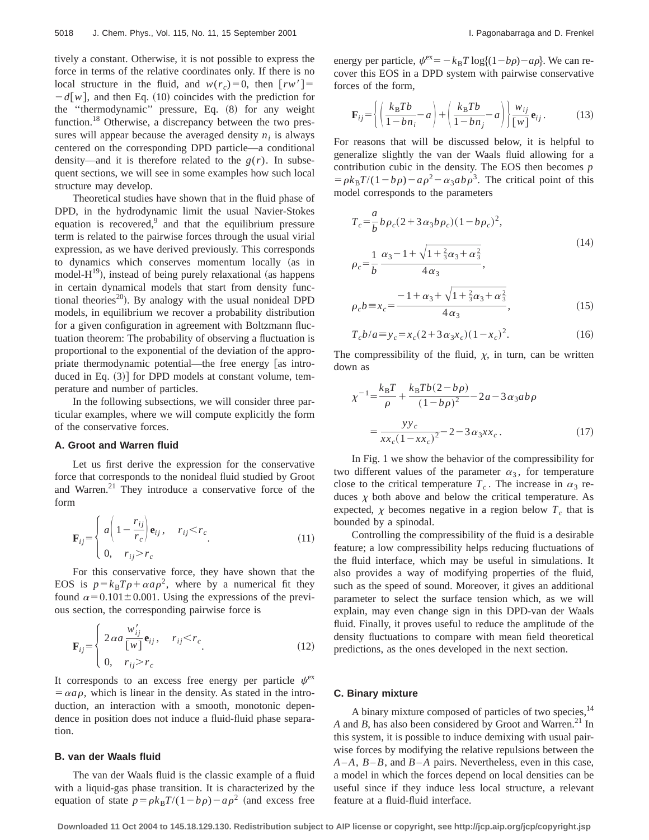tively a constant. Otherwise, it is not possible to express the force in terms of the relative coordinates only. If there is no local structure in the fluid, and  $w(r_c)=0$ , then  $\lceil rw'\rceil=$  $-d[w]$ , and then Eq. (10) coincides with the prediction for the "thermodynamic" pressure, Eq.  $(8)$  for any weight function.<sup>18</sup> Otherwise, a discrepancy between the two pressures will appear because the averaged density  $n_i$  is always centered on the corresponding DPD particle—a conditional density—and it is therefore related to the  $g(r)$ . In subsequent sections, we will see in some examples how such local structure may develop.

Theoretical studies have shown that in the fluid phase of DPD, in the hydrodynamic limit the usual Navier-Stokes equation is recovered, $9$  and that the equilibrium pressure term is related to the pairwise forces through the usual virial expression, as we have derived previously. This corresponds to dynamics which conserves momentum locally (as in model- $H^{19}$ ), instead of being purely relaxational (as happens in certain dynamical models that start from density functional theories<sup>20</sup>). By analogy with the usual nonideal DPD models, in equilibrium we recover a probability distribution for a given configuration in agreement with Boltzmann fluctuation theorem: The probability of observing a fluctuation is proportional to the exponential of the deviation of the appropriate thermodynamic potential—the free energy  $\sqrt{a}$  introduced in Eq.  $(3)$  for DPD models at constant volume, temperature and number of particles.

In the following subsections, we will consider three particular examples, where we will compute explicitly the form of the conservative forces.

## **A. Groot and Warren fluid**

Let us first derive the expression for the conservative force that corresponds to the nonideal fluid studied by Groot and Warren.<sup>21</sup> They introduce a conservative force of the form

$$
\mathbf{F}_{ij} = \begin{cases} a \left( 1 - \frac{r_{ij}}{r_c} \right) \mathbf{e}_{ij}, & r_{ij} < r_c \\ 0, & r_{ij} > r_c \end{cases}
$$
(11)

For this conservative force, they have shown that the EOS is  $p=k_B T \rho + \alpha a \rho^2$ , where by a numerical fit they found  $\alpha$ =0.101±0.001. Using the expressions of the previous section, the corresponding pairwise force is

$$
\mathbf{F}_{ij} = \begin{cases} 2 \alpha a \frac{w'_{ij}}{[w]} \mathbf{e}_{ij}, & r_{ij} < r_c \\ 0, & r_{ij} > r_c \end{cases}
$$
(12)

It corresponds to an excess free energy per particle  $\psi^{\text{ex}}$  $= \alpha a \rho$ , which is linear in the density. As stated in the introduction, an interaction with a smooth, monotonic dependence in position does not induce a fluid-fluid phase separation.

#### **B. van der Waals fluid**

The van der Waals fluid is the classic example of a fluid with a liquid-gas phase transition. It is characterized by the equation of state  $p = \rho k_B T/(1-b\rho) - a\rho^2$  (and excess free energy per particle,  $\psi^{\text{ex}} = -k_B T \log \{(1-b\rho) - a\rho\}$ . We can recover this EOS in a DPD system with pairwise conservative forces of the form,

$$
\mathbf{F}_{ij} = \left\{ \left( \frac{k_B T b}{1 - b n_i} - a \right) + \left( \frac{k_B T b}{1 - b n_j} - a \right) \right\} \frac{w_{ij}}{[w]} \mathbf{e}_{ij}.
$$
 (13)

For reasons that will be discussed below, it is helpful to generalize slightly the van der Waals fluid allowing for a contribution cubic in the density. The EOS then becomes *p*  $= \rho k_B T/(1-b\rho) - a\rho^2 - \alpha_3 ab\rho^3$ . The critical point of this model corresponds to the parameters

$$
T_c = \frac{a}{b} b \rho_c (2 + 3 \alpha_3 b \rho_c) (1 - b \rho_c)^2,
$$
  

$$
\rho_c = \frac{1}{b} \frac{\alpha_3 - 1 + \sqrt{1 + \frac{2}{3} \alpha_3 + \alpha_3^2}}{4 \alpha_3},
$$
 (14)

$$
\rho_c b \equiv x_c = \frac{-1 + \alpha_3 + \sqrt{1 + \frac{2}{3}\alpha_3 + \alpha_3^2}}{4\alpha_3},\tag{15}
$$

$$
T_c b/a \equiv y_c = x_c (2 + 3 \alpha_3 x_c)(1 - x_c)^2. \tag{16}
$$

The compressibility of the fluid,  $\chi$ , in turn, can be written down as

$$
\chi^{-1} = \frac{k_{\rm B}T}{\rho} + \frac{k_{\rm B}Tb(2-b\rho)}{(1-b\rho)^2} - 2a - 3\alpha_3ab\rho
$$

$$
= \frac{yy_c}{xx_c(1-xx_c)^2} - 2 - 3\alpha_3xx_c.
$$
 (17)

In Fig. 1 we show the behavior of the compressibility for two different values of the parameter  $\alpha_3$ , for temperature close to the critical temperature  $T_c$ . The increase in  $\alpha_3$  reduces  $\chi$  both above and below the critical temperature. As expected,  $\chi$  becomes negative in a region below  $T_c$  that is bounded by a spinodal.

Controlling the compressibility of the fluid is a desirable feature; a low compressibility helps reducing fluctuations of the fluid interface, which may be useful in simulations. It also provides a way of modifying properties of the fluid, such as the speed of sound. Moreover, it gives an additional parameter to select the surface tension which, as we will explain, may even change sign in this DPD-van der Waals fluid. Finally, it proves useful to reduce the amplitude of the density fluctuations to compare with mean field theoretical predictions, as the ones developed in the next section.

## **C. Binary mixture**

A binary mixture composed of particles of two species,<sup>14</sup> *A* and *B*, has also been considered by Groot and Warren.<sup>21</sup> In this system, it is possible to induce demixing with usual pairwise forces by modifying the relative repulsions between the *A*–*A*, *B*–*B*, and *B*–*A* pairs. Nevertheless, even in this case, a model in which the forces depend on local densities can be useful since if they induce less local structure, a relevant feature at a fluid-fluid interface.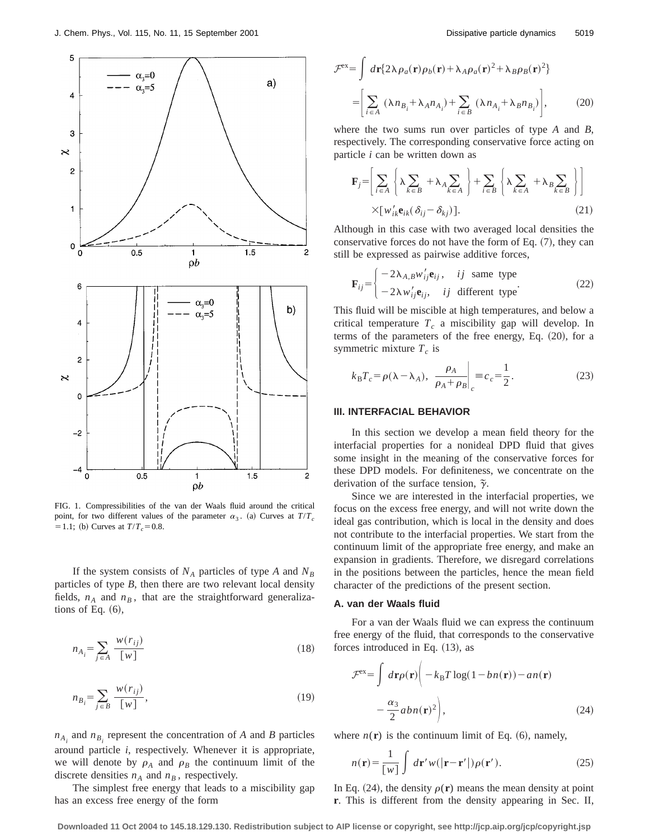

FIG. 1. Compressibilities of the van der Waals fluid around the critical point, for two different values of the parameter  $\alpha_3$ . (a) Curves at  $T/T_c$  $= 1.1$ ; (b) Curves at  $T/T_c = 0.8$ .

If the system consists of  $N_A$  particles of type *A* and  $N_B$ particles of type *B*, then there are two relevant local density fields,  $n_A$  and  $n_B$ , that are the straightforward generalizations of Eq.  $(6)$ ,

$$
n_{A_i} = \sum_{j \in A} \frac{w(r_{ij})}{[w]} \tag{18}
$$

$$
n_{B_i} = \sum_{j \in B} \frac{w(r_{ij})}{[w]},\tag{19}
$$

 $n_{A_i}$  and  $n_{B_i}$  represent the concentration of *A* and *B* particles around particle *i*, respectively. Whenever it is appropriate, we will denote by  $\rho_A$  and  $\rho_B$  the continuum limit of the discrete densities  $n_A$  and  $n_B$ , respectively.

The simplest free energy that leads to a miscibility gap has an excess free energy of the form

$$
\mathcal{F}^{\text{ex}} = \int d\mathbf{r} \{ 2\lambda \rho_a(\mathbf{r}) \rho_b(\mathbf{r}) + \lambda_A \rho_a(\mathbf{r})^2 + \lambda_B \rho_B(\mathbf{r})^2 \}
$$

$$
= \left[ \sum_{i \in A} (\lambda n_{B_i} + \lambda_A n_{A_i}) + \sum_{i \in B} (\lambda n_{A_i} + \lambda_B n_{B_i}) \right], \tag{20}
$$

where the two sums run over particles of type *A* and *B*, respectively. The corresponding conservative force acting on particle *i* can be written down as

$$
\mathbf{F}_{j} = \left[ \sum_{i \in A} \left\{ \lambda \sum_{k \in B} + \lambda_{A} \sum_{k \in A} \right\} + \sum_{i \in B} \left\{ \lambda \sum_{k \in A} + \lambda_{B} \sum_{k \in B} \right\} \right]
$$
  
×[*w*'<sub>ik</sub>**e**<sub>ik</sub>( $\delta_{ij} - \delta_{kj}$ )]. (21)

Although in this case with two averaged local densities the conservative forces do not have the form of Eq.  $(7)$ , they can still be expressed as pairwise additive forces,

$$
\mathbf{F}_{ij} = \begin{cases}\n-2\lambda_{A,B}w'_{ij}\mathbf{e}_{ij}, & \text{if same type} \\
-2\lambda w'_{ij}\mathbf{e}_{ij}, & \text{if different type}\n\end{cases}\n\tag{22}
$$

This fluid will be miscible at high temperatures, and below a critical temperature  $T_c$  a miscibility gap will develop. In terms of the parameters of the free energy, Eq. (20), for a symmetric mixture  $T_c$  is

$$
k_{\rm B}T_c = \rho(\lambda - \lambda_A), \ \frac{\rho_A}{\rho_A + \rho_B}\bigg|_c = c_c = \frac{1}{2}.
$$
 (23)

# **III. INTERFACIAL BEHAVIOR**

In this section we develop a mean field theory for the interfacial properties for a nonideal DPD fluid that gives some insight in the meaning of the conservative forces for these DPD models. For definiteness, we concentrate on the derivation of the surface tension,  $\tilde{\gamma}$ .

Since we are interested in the interfacial properties, we focus on the excess free energy, and will not write down the ideal gas contribution, which is local in the density and does not contribute to the interfacial properties. We start from the continuum limit of the appropriate free energy, and make an expansion in gradients. Therefore, we disregard correlations in the positions between the particles, hence the mean field character of the predictions of the present section.

### **A. van der Waals fluid**

For a van der Waals fluid we can express the continuum free energy of the fluid, that corresponds to the conservative forces introduced in Eq.  $(13)$ , as

$$
\mathcal{F}^{\text{ex}} = \int d\mathbf{r} \rho(\mathbf{r}) \bigg( -k_{\text{B}} T \log(1 - b n(\mathbf{r})) - a n(\mathbf{r}) - \frac{\alpha_3}{2} a b n(\mathbf{r})^2 \bigg), \tag{24}
$$

where  $n(\mathbf{r})$  is the continuum limit of Eq.  $(6)$ , namely,

$$
n(\mathbf{r}) = \frac{1}{\lceil w \rceil} \int d\mathbf{r}' w(\lvert \mathbf{r} - \mathbf{r}' \rvert) \rho(\mathbf{r}'). \tag{25}
$$

In Eq.  $(24)$ , the density  $\rho(r)$  means the mean density at point **r**. This is different from the density appearing in Sec. II,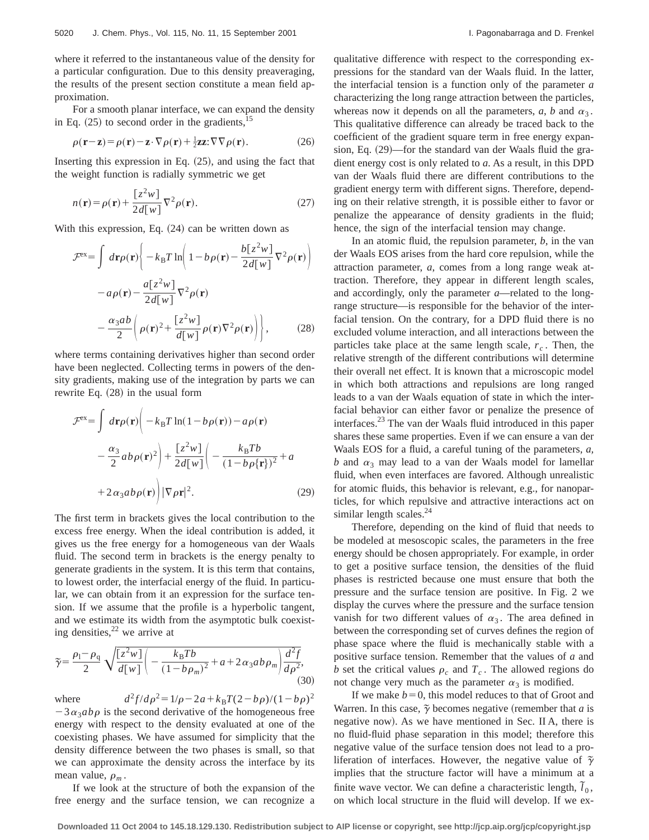where it referred to the instantaneous value of the density for a particular configuration. Due to this density preaveraging, the results of the present section constitute a mean field approximation.

For a smooth planar interface, we can expand the density in Eq.  $(25)$  to second order in the gradients,<sup>15</sup>

$$
\rho(\mathbf{r} - \mathbf{z}) = \rho(\mathbf{r}) - \mathbf{z} \cdot \nabla \rho(\mathbf{r}) + \frac{1}{2} \mathbf{z} \mathbf{z} \cdot \nabla \nabla \rho(\mathbf{r}).\tag{26}
$$

Inserting this expression in Eq.  $(25)$ , and using the fact that the weight function is radially symmetric we get

$$
n(\mathbf{r}) = \rho(\mathbf{r}) + \frac{[z^2 w]}{2d[w]} \nabla^2 \rho(\mathbf{r}).
$$
 (27)

With this expression, Eq.  $(24)$  can be written down as

$$
\mathcal{F}^{\text{ex}} = \int d\mathbf{r} \rho(\mathbf{r}) \left\{ -k_{\text{B}} T \ln \left( 1 - b \rho(\mathbf{r}) - \frac{b[z^2 w]}{2d[w]} \nabla^2 \rho(\mathbf{r}) \right) - a \rho(\mathbf{r}) - \frac{a[z^2 w]}{2d[w]} \nabla^2 \rho(\mathbf{r}) - \frac{a_3 ab}{2} \left( \rho(\mathbf{r})^2 + \frac{[z^2 w]}{d[w]} \rho(\mathbf{r}) \nabla^2 \rho(\mathbf{r}) \right) \right\}, \tag{28}
$$

where terms containing derivatives higher than second order have been neglected. Collecting terms in powers of the density gradients, making use of the integration by parts we can rewrite Eq.  $(28)$  in the usual form

$$
\mathcal{F}^{\text{ex}} = \int d\mathbf{r} \rho(\mathbf{r}) \left( -k_{\text{B}} T \ln(1 - b \rho(\mathbf{r})) - a \rho(\mathbf{r}) \right. \n- \frac{\alpha_3}{2} a b \rho(\mathbf{r})^2 \left. \right| + \frac{\left[ z^2 w \right]}{2d[w]} \left( -\frac{k_{\text{B}} T b}{(1 - b \rho{\{\mathbf{r}\}})^2} + a \n+ 2 \alpha_3 a b \rho(\mathbf{r}) \left. \right| |\nabla \rho \mathbf{r}|^2. \tag{29}
$$

The first term in brackets gives the local contribution to the excess free energy. When the ideal contribution is added, it gives us the free energy for a homogeneous van der Waals fluid. The second term in brackets is the energy penalty to generate gradients in the system. It is this term that contains, to lowest order, the interfacial energy of the fluid. In particular, we can obtain from it an expression for the surface tension. If we assume that the profile is a hyperbolic tangent, and we estimate its width from the asymptotic bulk coexisting densities, $22$  we arrive at

$$
\widetilde{\gamma} = \frac{\rho_1 - \rho_q}{2} \sqrt{\frac{[z^2 w]}{d[w]} \left( -\frac{k_B T b}{(1 - b \rho_m)^2} + a + 2 \alpha_3 a b \rho_m \right) \frac{d^2 f}{d \rho^2}},\tag{30}
$$

where  $d^2f/d\rho^2 = 1/\rho - 2a + k_B T(2 - b\rho)/(1 - b\rho)^2$  $-3\alpha_3ab\rho$  is the second derivative of the homogeneous free energy with respect to the density evaluated at one of the coexisting phases. We have assumed for simplicity that the density difference between the two phases is small, so that we can approximate the density across the interface by its mean value,  $\rho_m$ .

If we look at the structure of both the expansion of the free energy and the surface tension, we can recognize a qualitative difference with respect to the corresponding expressions for the standard van der Waals fluid. In the latter, the interfacial tension is a function only of the parameter *a* characterizing the long range attraction between the particles, whereas now it depends on all the parameters,  $a$ ,  $b$  and  $\alpha_3$ . This qualitative difference can already be traced back to the coefficient of the gradient square term in free energy expansion, Eq. (29)—for the standard van der Waals fluid the gradient energy cost is only related to *a*. As a result, in this DPD van der Waals fluid there are different contributions to the gradient energy term with different signs. Therefore, depending on their relative strength, it is possible either to favor or penalize the appearance of density gradients in the fluid; hence, the sign of the interfacial tension may change.

In an atomic fluid, the repulsion parameter, *b*, in the van der Waals EOS arises from the hard core repulsion, while the attraction parameter, *a*, comes from a long range weak attraction. Therefore, they appear in different length scales, and accordingly, only the parameter *a*—related to the longrange structure—is responsible for the behavior of the interfacial tension. On the contrary, for a DPD fluid there is no excluded volume interaction, and all interactions between the particles take place at the same length scale,  $r_c$ . Then, the relative strength of the different contributions will determine their overall net effect. It is known that a microscopic model in which both attractions and repulsions are long ranged leads to a van der Waals equation of state in which the interfacial behavior can either favor or penalize the presence of interfaces.23 The van der Waals fluid introduced in this paper shares these same properties. Even if we can ensure a van der Waals EOS for a fluid, a careful tuning of the parameters, *a, b* and  $\alpha_3$  may lead to a van der Waals model for lamellar fluid, when even interfaces are favored. Although unrealistic for atomic fluids, this behavior is relevant, e.g., for nanoparticles, for which repulsive and attractive interactions act on similar length scales.<sup>24</sup>

Therefore, depending on the kind of fluid that needs to be modeled at mesoscopic scales, the parameters in the free energy should be chosen appropriately. For example, in order to get a positive surface tension, the densities of the fluid phases is restricted because one must ensure that both the pressure and the surface tension are positive. In Fig. 2 we display the curves where the pressure and the surface tension vanish for two different values of  $\alpha_3$ . The area defined in between the corresponding set of curves defines the region of phase space where the fluid is mechanically stable with a positive surface tension. Remember that the values of *a* and *b* set the critical values  $\rho_c$  and  $T_c$ . The allowed regions do not change very much as the parameter  $\alpha_3$  is modified.

If we make  $b=0$ , this model reduces to that of Groot and Warren. In this case,  $\tilde{\gamma}$  becomes negative (remember that *a* is negative now). As we have mentioned in Sec. II A, there is no fluid-fluid phase separation in this model; therefore this negative value of the surface tension does not lead to a proliferation of interfaces. However, the negative value of  $\tilde{\gamma}$ implies that the structure factor will have a minimum at a finite wave vector. We can define a characteristic length,  $\tilde{l}_0$ , on which local structure in the fluid will develop. If we ex-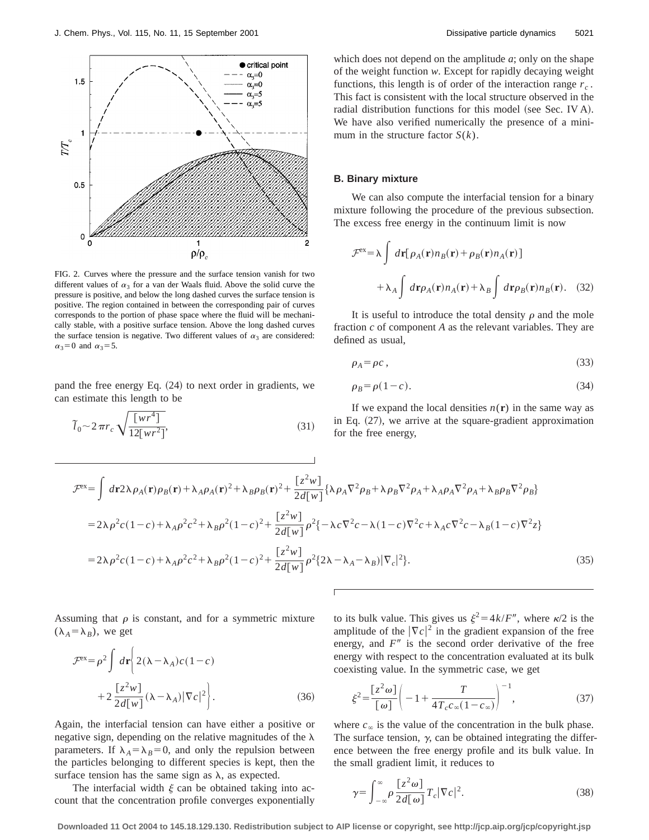

FIG. 2. Curves where the pressure and the surface tension vanish for two different values of  $\alpha_3$  for a van der Waals fluid. Above the solid curve the pressure is positive, and below the long dashed curves the surface tension is positive. The region contained in between the corresponding pair of curves corresponds to the portion of phase space where the fluid will be mechanically stable, with a positive surface tension. Above the long dashed curves the surface tension is negative. Two different values of  $\alpha_3$  are considered:  $\alpha_3=0$  and  $\alpha_3=5$ .

pand the free energy Eq.  $(24)$  to next order in gradients, we can estimate this length to be

$$
\widetilde{l}_0 \sim 2\pi r_c \sqrt{\frac{\left[wr^4\right]}{12\left[wr^2\right]}},\tag{31}
$$

which does not depend on the amplitude *a*; only on the shape of the weight function *w*. Except for rapidly decaying weight functions, this length is of order of the interaction range  $r_c$ . This fact is consistent with the local structure observed in the radial distribution functions for this model (see Sec. IV A). We have also verified numerically the presence of a minimum in the structure factor  $S(k)$ .

#### **B. Binary mixture**

We can also compute the interfacial tension for a binary mixture following the procedure of the previous subsection. The excess free energy in the continuum limit is now

$$
\mathcal{F}^{\text{ex}} = \lambda \int d\mathbf{r} [\rho_A(\mathbf{r}) n_B(\mathbf{r}) + \rho_B(\mathbf{r}) n_A(\mathbf{r})] + \lambda_A \int d\mathbf{r} \rho_A(\mathbf{r}) n_A(\mathbf{r}) + \lambda_B \int d\mathbf{r} \rho_B(\mathbf{r}) n_B(\mathbf{r}).
$$
 (32)

It is useful to introduce the total density  $\rho$  and the mole fraction *c* of component *A* as the relevant variables. They are defined as usual,

$$
\rho_A = \rho c \,,\tag{33}
$$

$$
\rho_B = \rho(1 - c). \tag{34}
$$

If we expand the local densities  $n(r)$  in the same way as in Eq.  $(27)$ , we arrive at the square-gradient approximation for the free energy,

$$
\mathcal{F}^{\text{ex}} = \int d\mathbf{r} 2\lambda \rho_A(\mathbf{r}) \rho_B(\mathbf{r}) + \lambda_A \rho_A(\mathbf{r})^2 + \lambda_B \rho_B(\mathbf{r})^2 + \frac{[z^2 w]}{2d[w]} \{ \lambda \rho_A \nabla^2 \rho_B + \lambda \rho_B \nabla^2 \rho_A + \lambda_A \rho_A \nabla^2 \rho_A + \lambda_B \rho_B \nabla^2 \rho_B \}
$$
  
=  $2\lambda \rho^2 c (1 - c) + \lambda_A \rho^2 c^2 + \lambda_B \rho^2 (1 - c)^2 + \frac{[z^2 w]}{2d[w]} \rho^2 \{ -\lambda c \nabla^2 c - \lambda (1 - c) \nabla^2 c + \lambda_A c \nabla^2 c - \lambda_B (1 - c) \nabla^2 z \}$   
=  $2\lambda \rho^2 c (1 - c) + \lambda_A \rho^2 c^2 + \lambda_B \rho^2 (1 - c)^2 + \frac{[z^2 w]}{2d[w]} \rho^2 \{ 2\lambda - \lambda_A - \lambda_B \} |\nabla_c|^2 \}. \tag{35}$ 

Assuming that  $\rho$  is constant, and for a symmetric mixture  $(\lambda_A = \lambda_B)$ , we get

$$
\mathcal{F}^{\text{ex}} = \rho^2 \int d\mathbf{r} \left\{ 2(\lambda - \lambda_A)c(1 - c) + 2\frac{[z^2 w]}{2d[w]}(\lambda - \lambda_A)|\nabla c|^2 \right\}.
$$
 (36)

Again, the interfacial tension can have either a positive or negative sign, depending on the relative magnitudes of the  $\lambda$ parameters. If  $\lambda_A = \lambda_B = 0$ , and only the repulsion between the particles belonging to different species is kept, then the surface tension has the same sign as  $\lambda$ , as expected.

The interfacial width  $\xi$  can be obtained taking into account that the concentration profile converges exponentially to its bulk value. This gives us  $\xi^2 = 4k/F''$ , where  $\kappa/2$  is the amplitude of the  $|\nabla c|^2$  in the gradient expansion of the free energy, and  $F''$  is the second order derivative of the free energy with respect to the concentration evaluated at its bulk coexisting value. In the symmetric case, we get

$$
\xi^2 = \frac{[z^2 \omega]}{[\omega]} \left( -1 + \frac{T}{4T_c c_{\infty} (1 - c_{\infty})} \right)^{-1},
$$
\n(37)

where  $c_{\infty}$  is the value of the concentration in the bulk phase. The surface tension,  $\gamma$ , can be obtained integrating the difference between the free energy profile and its bulk value. In the small gradient limit, it reduces to

$$
\gamma = \int_{-\infty}^{\infty} \rho \frac{[z^2 \omega]}{2d[\omega]} T_c |\nabla c|^2.
$$
 (38)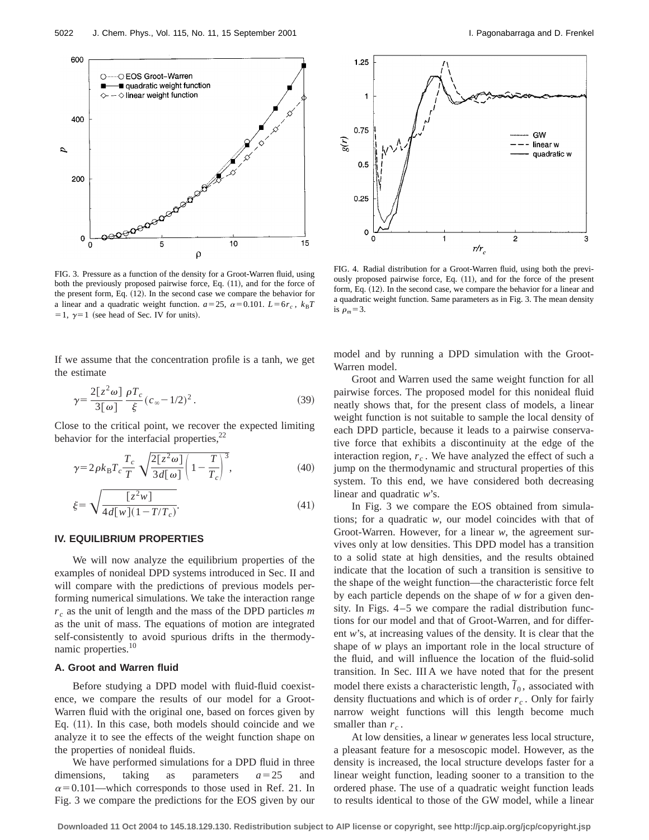

FIG. 3. Pressure as a function of the density for a Groot-Warren fluid, using both the previously proposed pairwise force, Eq.  $(11)$ , and for the force of the present form, Eq.  $(12)$ . In the second case we compare the behavior for a linear and a quadratic weight function.  $a=25$ ,  $\alpha=0.101$ .  $L=6r_c$ ,  $k_BT$ = 1,  $\gamma$ = 1 (see head of Sec. IV for units).

If we assume that the concentration profile is a tanh, we get the estimate

$$
\gamma = \frac{2[z^2\omega]}{3[\omega]} \frac{\rho T_c}{\xi} (c_\infty - 1/2)^2.
$$
 (39)

Close to the critical point, we recover the expected limiting behavior for the interfacial properties, $^{22}$ 

$$
\gamma = 2\rho k_{\rm B} T_c \frac{T_c}{T} \sqrt{\frac{2[z^2\omega]}{3d[\omega]}} \left(1 - \frac{T}{T_c}\right)^3,\tag{40}
$$

$$
\xi = \sqrt{\frac{[z^2 w]}{4d[w](1 - T/T_c)}}.
$$
\n(41)

# **IV. EQUILIBRIUM PROPERTIES**

We will now analyze the equilibrium properties of the examples of nonideal DPD systems introduced in Sec. II and will compare with the predictions of previous models performing numerical simulations. We take the interaction range *r <sup>c</sup>* as the unit of length and the mass of the DPD particles *m* as the unit of mass. The equations of motion are integrated self-consistently to avoid spurious drifts in the thermodynamic properties.10

# **A. Groot and Warren fluid**

Before studying a DPD model with fluid-fluid coexistence, we compare the results of our model for a Groot-Warren fluid with the original one, based on forces given by Eq.  $(11)$ . In this case, both models should coincide and we analyze it to see the effects of the weight function shape on the properties of nonideal fluids.

We have performed simulations for a DPD fluid in three dimensions, taking as parameters  $a=25$  and  $\alpha$ =0.101—which corresponds to those used in Ref. 21. In Fig. 3 we compare the predictions for the EOS given by our



FIG. 4. Radial distribution for a Groot-Warren fluid, using both the previously proposed pairwise force, Eq. (11), and for the force of the present form, Eq.  $(12)$ . In the second case, we compare the behavior for a linear and a quadratic weight function. Same parameters as in Fig. 3. The mean density is  $\rho_m = 3$ .

model and by running a DPD simulation with the Groot-Warren model.

Groot and Warren used the same weight function for all pairwise forces. The proposed model for this nonideal fluid neatly shows that, for the present class of models, a linear weight function is not suitable to sample the local density of each DPD particle, because it leads to a pairwise conservative force that exhibits a discontinuity at the edge of the interaction region,  $r_c$ . We have analyzed the effect of such a jump on the thermodynamic and structural properties of this system. To this end, we have considered both decreasing linear and quadratic *w*'s.

In Fig. 3 we compare the EOS obtained from simulations; for a quadratic *w*, our model coincides with that of Groot-Warren. However, for a linear *w*, the agreement survives only at low densities. This DPD model has a transition to a solid state at high densities, and the results obtained indicate that the location of such a transition is sensitive to the shape of the weight function—the characteristic force felt by each particle depends on the shape of *w* for a given density. In Figs. 4–5 we compare the radial distribution functions for our model and that of Groot-Warren, and for different *w*'s, at increasing values of the density. It is clear that the shape of *w* plays an important role in the local structure of the fluid, and will influence the location of the fluid-solid transition. In Sec. III A we have noted that for the present model there exists a characteristic length,  $\tilde{l}_0$ , associated with density fluctuations and which is of order  $r_c$ . Only for fairly narrow weight functions will this length become much smaller than  $r_c$ .

At low densities, a linear *w* generates less local structure, a pleasant feature for a mesoscopic model. However, as the density is increased, the local structure develops faster for a linear weight function, leading sooner to a transition to the ordered phase. The use of a quadratic weight function leads to results identical to those of the GW model, while a linear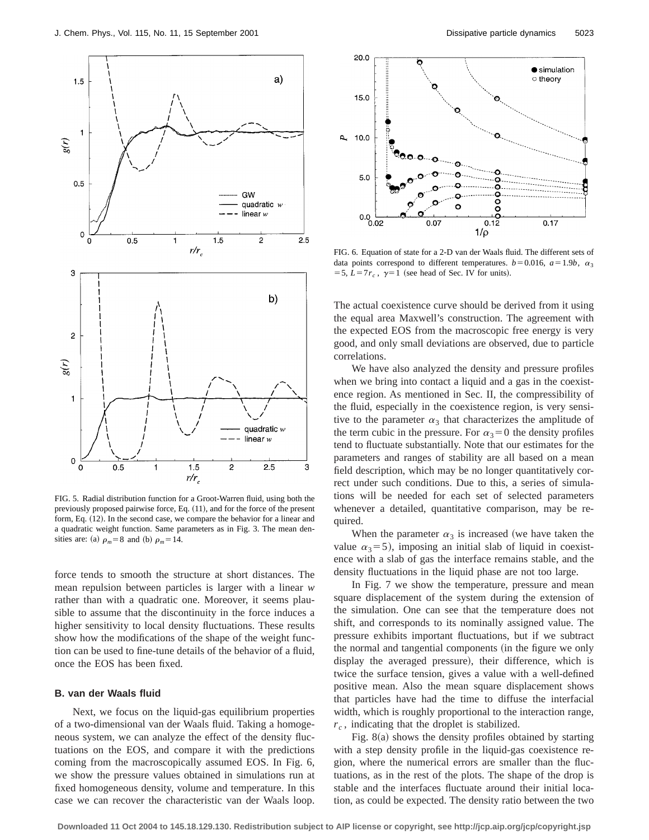

FIG. 5. Radial distribution function for a Groot-Warren fluid, using both the previously proposed pairwise force, Eq.  $(11)$ , and for the force of the present form, Eq. (12). In the second case, we compare the behavior for a linear and a quadratic weight function. Same parameters as in Fig. 3. The mean densities are: (a)  $\rho_m = 8$  and (b)  $\rho_m = 14$ .

force tends to smooth the structure at short distances. The mean repulsion between particles is larger with a linear *w* rather than with a quadratic one. Moreover, it seems plausible to assume that the discontinuity in the force induces a higher sensitivity to local density fluctuations. These results show how the modifications of the shape of the weight function can be used to fine-tune details of the behavior of a fluid, once the EOS has been fixed.

## **B. van der Waals fluid**

Next, we focus on the liquid-gas equilibrium properties of a two-dimensional van der Waals fluid. Taking a homogeneous system, we can analyze the effect of the density fluctuations on the EOS, and compare it with the predictions coming from the macroscopically assumed EOS. In Fig. 6, we show the pressure values obtained in simulations run at fixed homogeneous density, volume and temperature. In this case we can recover the characteristic van der Waals loop.



FIG. 6. Equation of state for a 2-D van der Waals fluid. The different sets of data points correspond to different temperatures.  $b=0.016$ ,  $a=1.9b$ ,  $\alpha_3$ = 5,  $L=7r_c$ ,  $\gamma=1$  (see head of Sec. IV for units).

The actual coexistence curve should be derived from it using the equal area Maxwell's construction. The agreement with the expected EOS from the macroscopic free energy is very good, and only small deviations are observed, due to particle correlations.

We have also analyzed the density and pressure profiles when we bring into contact a liquid and a gas in the coexistence region. As mentioned in Sec. II, the compressibility of the fluid, especially in the coexistence region, is very sensitive to the parameter  $\alpha_3$  that characterizes the amplitude of the term cubic in the pressure. For  $\alpha_3=0$  the density profiles tend to fluctuate substantially. Note that our estimates for the parameters and ranges of stability are all based on a mean field description, which may be no longer quantitatively correct under such conditions. Due to this, a series of simulations will be needed for each set of selected parameters whenever a detailed, quantitative comparison, may be required.

When the parameter  $\alpha_3$  is increased (we have taken the value  $\alpha_3$ =5), imposing an initial slab of liquid in coexistence with a slab of gas the interface remains stable, and the density fluctuations in the liquid phase are not too large.

In Fig. 7 we show the temperature, pressure and mean square displacement of the system during the extension of the simulation. One can see that the temperature does not shift, and corresponds to its nominally assigned value. The pressure exhibits important fluctuations, but if we subtract the normal and tangential components (in the figure we only display the averaged pressure), their difference, which is twice the surface tension, gives a value with a well-defined positive mean. Also the mean square displacement shows that particles have had the time to diffuse the interfacial width, which is roughly proportional to the interaction range, *r <sup>c</sup>* , indicating that the droplet is stabilized.

Fig.  $8(a)$  shows the density profiles obtained by starting with a step density profile in the liquid-gas coexistence region, where the numerical errors are smaller than the fluctuations, as in the rest of the plots. The shape of the drop is stable and the interfaces fluctuate around their initial location, as could be expected. The density ratio between the two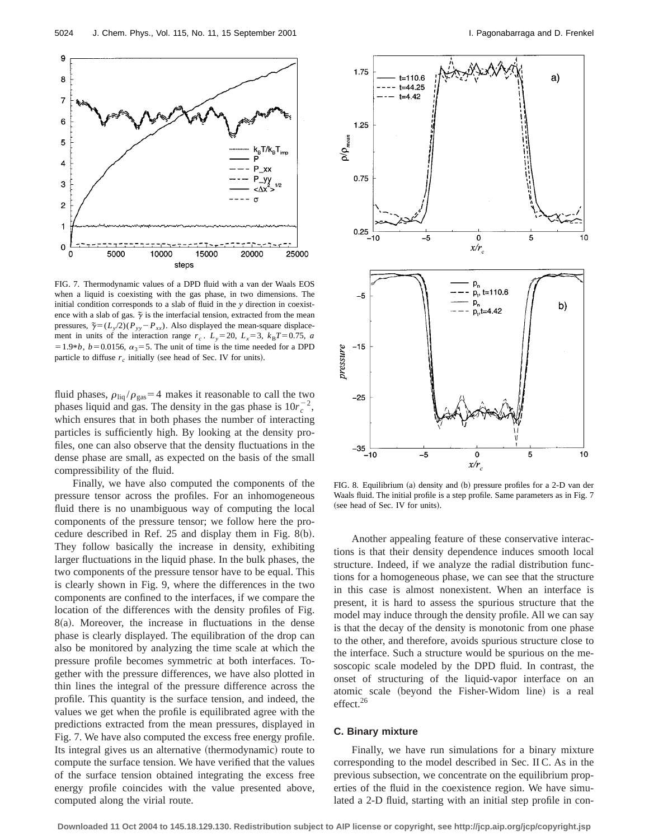

FIG. 7. Thermodynamic values of a DPD fluid with a van der Waals EOS when a liquid is coexisting with the gas phase, in two dimensions. The initial condition corresponds to a slab of fluid in the *y* direction in coexistence with a slab of gas.  $\tilde{\gamma}$  is the interfacial tension, extracted from the mean pressures,  $\tilde{\gamma} = (L_y/2)(P_{yy} - P_{xx})$ . Also displayed the mean-square displacement in units of the interaction range  $r_c$ .  $L_y=20$ ,  $L_x=3$ ,  $k_B T=0.75$ , *a*  $=1.9*b$ ,  $b=0.0156$ ,  $\alpha_3=5$ . The unit of time is the time needed for a DPD particle to diffuse  $r_c$  initially (see head of Sec. IV for units).

fluid phases,  $\rho_{\text{liq}} / \rho_{\text{gas}} = 4$  makes it reasonable to call the two phases liquid and gas. The density in the gas phase is  $10r_c^{-2}$ , which ensures that in both phases the number of interacting particles is sufficiently high. By looking at the density profiles, one can also observe that the density fluctuations in the dense phase are small, as expected on the basis of the small compressibility of the fluid.

Finally, we have also computed the components of the pressure tensor across the profiles. For an inhomogeneous fluid there is no unambiguous way of computing the local components of the pressure tensor; we follow here the procedure described in Ref.  $25$  and display them in Fig. 8(b). They follow basically the increase in density, exhibiting larger fluctuations in the liquid phase. In the bulk phases, the two components of the pressure tensor have to be equal. This is clearly shown in Fig. 9, where the differences in the two components are confined to the interfaces, if we compare the location of the differences with the density profiles of Fig.  $8(a)$ . Moreover, the increase in fluctuations in the dense phase is clearly displayed. The equilibration of the drop can also be monitored by analyzing the time scale at which the pressure profile becomes symmetric at both interfaces. Together with the pressure differences, we have also plotted in thin lines the integral of the pressure difference across the profile. This quantity is the surface tension, and indeed, the values we get when the profile is equilibrated agree with the predictions extracted from the mean pressures, displayed in Fig. 7. We have also computed the excess free energy profile. Its integral gives us an alternative (thermodynamic) route to compute the surface tension. We have verified that the values of the surface tension obtained integrating the excess free energy profile coincides with the value presented above, computed along the virial route.



FIG. 8. Equilibrium (a) density and (b) pressure profiles for a 2-D van der Waals fluid. The initial profile is a step profile. Same parameters as in Fig. 7 (see head of Sec. IV for units).

Another appealing feature of these conservative interactions is that their density dependence induces smooth local structure. Indeed, if we analyze the radial distribution functions for a homogeneous phase, we can see that the structure in this case is almost nonexistent. When an interface is present, it is hard to assess the spurious structure that the model may induce through the density profile. All we can say is that the decay of the density is monotonic from one phase to the other, and therefore, avoids spurious structure close to the interface. Such a structure would be spurious on the mesoscopic scale modeled by the DPD fluid. In contrast, the onset of structuring of the liquid-vapor interface on an atomic scale (beyond the Fisher-Widom line) is a real effect.<sup>26</sup>

### **C. Binary mixture**

Finally, we have run simulations for a binary mixture corresponding to the model described in Sec. II C. As in the previous subsection, we concentrate on the equilibrium properties of the fluid in the coexistence region. We have simulated a 2-D fluid, starting with an initial step profile in con-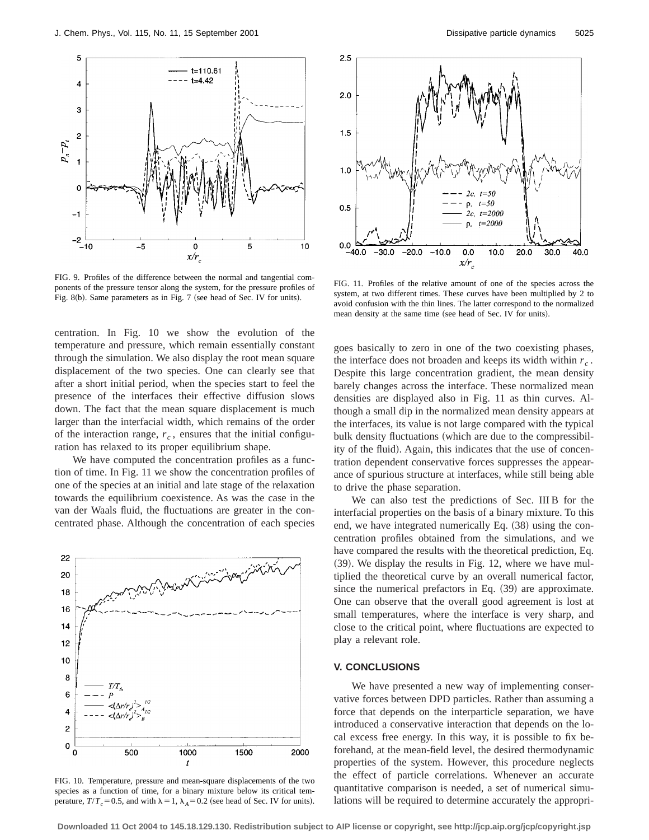

FIG. 9. Profiles of the difference between the normal and tangential components of the pressure tensor along the system, for the pressure profiles of Fig. 8 $(b)$ . Same parameters as in Fig. 7 (see head of Sec. IV for units).

centration. In Fig. 10 we show the evolution of the temperature and pressure, which remain essentially constant through the simulation. We also display the root mean square displacement of the two species. One can clearly see that after a short initial period, when the species start to feel the presence of the interfaces their effective diffusion slows down. The fact that the mean square displacement is much larger than the interfacial width, which remains of the order of the interaction range,  $r_c$ , ensures that the initial configuration has relaxed to its proper equilibrium shape.

We have computed the concentration profiles as a function of time. In Fig. 11 we show the concentration profiles of one of the species at an initial and late stage of the relaxation towards the equilibrium coexistence. As was the case in the van der Waals fluid, the fluctuations are greater in the concentrated phase. Although the concentration of each species



FIG. 10. Temperature, pressure and mean-square displacements of the two species as a function of time, for a binary mixture below its critical temperature,  $T/T_c = 0.5$ , and with  $\lambda = 1$ ,  $\lambda_A = 0.2$  (see head of Sec. IV for units).



FIG. 11. Profiles of the relative amount of one of the species across the system, at two different times. These curves have been multiplied by 2 to avoid confusion with the thin lines. The latter correspond to the normalized mean density at the same time (see head of Sec. IV for units).

goes basically to zero in one of the two coexisting phases, the interface does not broaden and keeps its width within  $r_c$ . Despite this large concentration gradient, the mean density barely changes across the interface. These normalized mean densities are displayed also in Fig. 11 as thin curves. Although a small dip in the normalized mean density appears at the interfaces, its value is not large compared with the typical bulk density fluctuations (which are due to the compressibility of the fluid). Again, this indicates that the use of concentration dependent conservative forces suppresses the appearance of spurious structure at interfaces, while still being able to drive the phase separation.

We can also test the predictions of Sec. III B for the interfacial properties on the basis of a binary mixture. To this end, we have integrated numerically Eq.  $(38)$  using the concentration profiles obtained from the simulations, and we have compared the results with the theoretical prediction, Eq.  $(39)$ . We display the results in Fig. 12, where we have multiplied the theoretical curve by an overall numerical factor, since the numerical prefactors in Eq.  $(39)$  are approximate. One can observe that the overall good agreement is lost at small temperatures, where the interface is very sharp, and close to the critical point, where fluctuations are expected to play a relevant role.

## **V. CONCLUSIONS**

We have presented a new way of implementing conservative forces between DPD particles. Rather than assuming a force that depends on the interparticle separation, we have introduced a conservative interaction that depends on the local excess free energy. In this way, it is possible to fix beforehand, at the mean-field level, the desired thermodynamic properties of the system. However, this procedure neglects the effect of particle correlations. Whenever an accurate quantitative comparison is needed, a set of numerical simulations will be required to determine accurately the appropri-